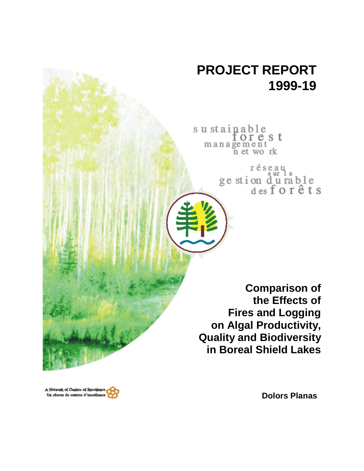# **PROJECT REPORT 1999-19**

sustainable<br>for e s t  $m$  a n a  $\widetilde{g}$  e  $m$  e  $n$  t wo rk

réseau<br>ge stion d'u rable<br>des forêts

**Comparison of the Effects of Fires and Logging on Algal Productivity, Quality and Biodiversity in Boreal Shield Lakes**



**Dolors Planas**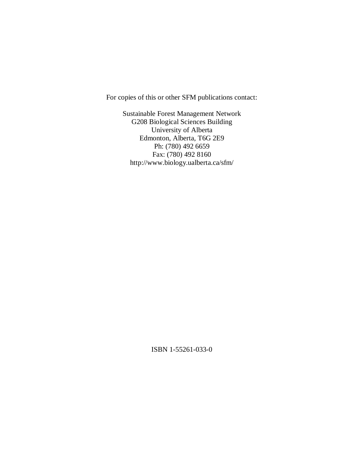For copies of this or other SFM publications contact:

Sustainable Forest Management Network G208 Biological Sciences Building University of Alberta Edmonton, Alberta, T6G 2E9 Ph: (780) 492 6659 Fax: (780) 492 8160 http://www.biology.ualberta.ca/sfm/

ISBN 1-55261-033-0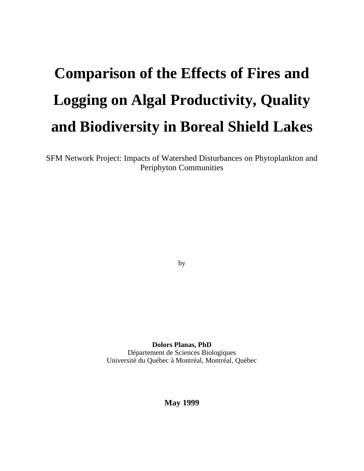# **Comparison of the Effects of Fires and Logging on Algal Productivity, Quality and Biodiversity in Boreal Shield Lakes**

SFM Network Project: Impacts of Watershed Disturbances on Phytoplankton and Periphyton Communities

by

**Dolors Planas, PhD** Département de Sciences Biologiques Université du Québec à Montréal, Montréal, Québec

# **May 1999**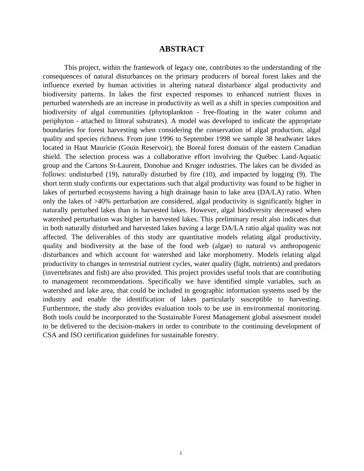## **ABSTRACT**

This project, within the framework of legacy one, contributes to the understanding of the consequences of natural disturbances on the primary producers of boreal forest lakes and the influence exerted by human activities in altering natural disturbance algal productivity and biodiversity patterns. In lakes the first expected responses to enhanced nutrient fluxes in perturbed watersheds are an increase in productivity as well as a shift in species composition and biodiversity of algal communities (phytoplankton - free-floating in the water column and periphyton - attached to littoral substrates). A model was developed to indicate the appropriate boundaries for forest harvesting when considering the conservation of algal production, algal quality and species richness. From june 1996 to September 1998 we sample 38 headwater lakes located in Haut Mauricie (Gouin Reservoir), the Boreal forest domain of the eastern Canadian shield. The selection process was a collaborative effort involving the Québec Land-Aquatic group and the Cartons St-Laurent, Donohue and Kruger industries. The lakes can be divided as follows: undisturbed (19), naturally disturbed by fire (10), and impacted by logging (9). The short term study confirms our expectations such that algal productivity was found to be higher in lakes of perturbed ecosystems having a high drainage basin to lake area (DA/LA) ratio. When only the lakes of >40% perturbation are considered, algal productivity is significantly higher in naturally perturbed lakes than in harvested lakes. However, algal biodiversity decreased when watershed perturbation was higher in harvested lakes. This preliminary result also indicates that in both naturally disturbed and harvested lakes having a large DA/LA ratio algal quality was not affected. The deliverables of this study are quantitative models relating algal productivity, quality and biodiversity at the base of the food web (algae) to natural vs anthropogenic disturbances and which account for watershed and lake morphometry. Models relating algal productivity to changes in terrestrial nutrient cycles, water quality (light, nutrients) and predators (invertebrates and fish) are also provided. This project provides useful tools that are contributing to management recommendations. Specifically we have identified simple variables, such as watershed and lake area, that could be included in geographic information systems used by the industry and enable the identification of lakes particularly susceptible to harvesting. Furthermore, the study also provides evaluation tools to be use in environmental monitoring. Both tools could be incorporated to the Sustainable Forest Management global assesment model to be delivered to the decision-makers in order to contribute to the continuing development of CSA and ISO certification guidelines for sustainable forestry.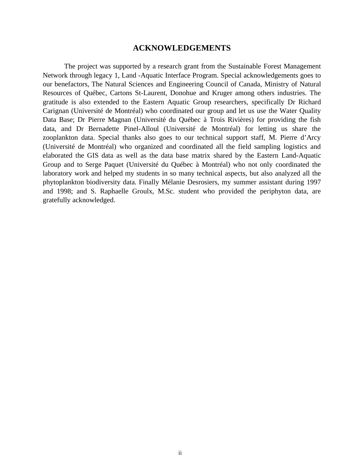#### **ACKNOWLEDGEMENTS**

The project was supported by a research grant from the Sustainable Forest Management Network through legacy 1, Land -Aquatic Interface Program. Special acknowledgements goes to our benefactors, The Natural Sciences and Engineering Council of Canada, Ministry of Natural Resources of Québec, Cartons St-Laurent, Donohue and Kruger among others industries. The gratitude is also extended to the Eastern Aquatic Group researchers, specifically Dr Richard Carignan (Université de Montréal) who coordinated our group and let us use the Water Quality Data Base; Dr Pierre Magnan (Université du Québec à Trois Rivières) for providing the fish data, and Dr Bernadette Pinel-Alloul (Université de Montréal) for letting us share the zooplankton data. Special thanks also goes to our technical support staff, M. Pierre d'Arcy (Université de Montréal) who organized and coordinated all the field sampling logistics and elaborated the GIS data as well as the data base matrix shared by the Eastern Land-Aquatic Group and to Serge Paquet (Université du Québec à Montréal) who not only coordinated the laboratory work and helped my students in so many technical aspects, but also analyzed all the phytoplankton biodiversity data. Finally Mélanie Desrosiers, my summer assistant during 1997 and 1998; and S. Raphaelle Groulx, M.Sc. student who provided the periphyton data, are gratefully acknowledged.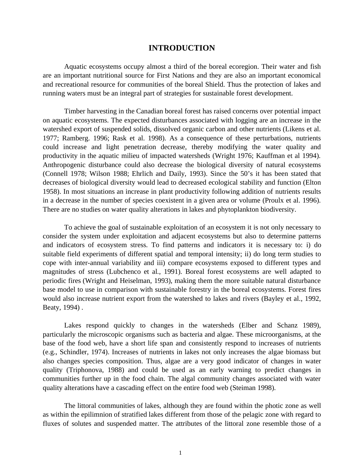## **INTRODUCTION**

Aquatic ecosystems occupy almost a third of the boreal ecoregion. Their water and fish are an important nutritional source for First Nations and they are also an important economical and recreational resource for communities of the boreal Shield. Thus the protection of lakes and running waters must be an integral part of strategies for sustainable forest development.

Timber harvesting in the Canadian boreal forest has raised concerns over potential impact on aquatic ecosystems. The expected disturbances associated with logging are an increase in the watershed export of suspended solids, dissolved organic carbon and other nutrients (Likens et al. 1977; Ramberg. 1996; Rask et al. 1998). As a consequence of these perturbations, nutrients could increase and light penetration decrease, thereby modifying the water quality and productivity in the aquatic milieu of impacted watersheds (Wright 1976; Kauffman et al 1994). Anthropogenic disturbance could also decrease the biological diversity of natural ecosystems (Connell 1978; Wilson 1988; Ehrlich and Daily, 1993). Since the 50's it has been stated that decreases of biological diversity would lead to decreased ecological stability and function (Elton 1958). In most situations an increase in plant productivity following addition of nutrients results in a decrease in the number of species coexistent in a given area or volume (Proulx et al. 1996). There are no studies on water quality alterations in lakes and phytoplankton biodiversity.

To achieve the goal of sustainable exploitation of an ecosystem it is not only necessary to consider the system under exploitation and adjacent ecosystems but also to determine patterns and indicators of ecosystem stress. To find patterns and indicators it is necessary to: i) do suitable field experiments of different spatial and temporal intensity; ii) do long term studies to cope with inter-annual variability and iii) compare ecosystems exposed to different types and magnitudes of stress (Lubchenco et al., 1991). Boreal forest ecosystems are well adapted to periodic fires (Wright and Heiselman, 1993), making them the more suitable natural disturbance base model to use in comparison with sustainable forestry in the boreal ecosystems. Forest fires would also increase nutrient export from the watershed to lakes and rivers (Bayley et al., 1992, Beaty, 1994) .

Lakes respond quickly to changes in the watersheds (Elber and Schanz 1989), particularly the microscopic organisms such as bacteria and algae. These microorganisms, at the base of the food web, have a short life span and consistently respond to increases of nutrients (e.g., Schindler, 1974). Increases of nutrients in lakes not only increases the algae biomass but also changes species composition. Thus, algae are a very good indicator of changes in water quality (Triphonova, 1988) and could be used as an early warning to predict changes in communities further up in the food chain. The algal community changes associated with water quality alterations have a cascading effect on the entire food web (Steiman 1998).

The littoral communities of lakes, although they are found within the photic zone as well as within the epilimnion of stratified lakes different from those of the pelagic zone with regard to fluxes of solutes and suspended matter. The attributes of the littoral zone resemble those of a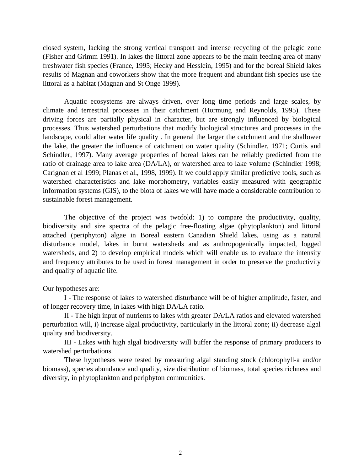closed system, lacking the strong vertical transport and intense recycling of the pelagic zone (Fisher and Grimm 1991). In lakes the littoral zone appears to be the main feeding area of many freshwater fish species (France, 1995; Hecky and Hesslein, 1995) and for the boreal Shield lakes results of Magnan and coworkers show that the more frequent and abundant fish species use the littoral as a habitat (Magnan and St Onge 1999).

Aquatic ecosystems are always driven, over long time periods and large scales, by climate and terrestrial processes in their catchment (Hormung and Reynolds, 1995). These driving forces are partially physical in character, but are strongly influenced by biological processes. Thus watershed perturbations that modify biological structures and processes in the landscape, could alter water life quality . In general the larger the catchment and the shallower the lake, the greater the influence of catchment on water quality (Schindler, 1971; Curtis and Schindler, 1997). Many average properties of boreal lakes can be reliably predicted from the ratio of drainage area to lake area (DA/LA), or watershed area to lake volume (Schindler 1998; Carignan et al 1999; Planas et al., 1998, 1999). If we could apply similar predictive tools, such as watershed characteristics and lake morphometry, variables easily measured with geographic information systems (GIS), to the biota of lakes we will have made a considerable contribution to sustainable forest management.

The objective of the project was twofold: 1) to compare the productivity, quality, biodiversity and size spectra of the pelagic free-floating algae (phytoplankton) and littoral attached (periphyton) algae in Boreal eastern Canadian Shield lakes, using as a natural disturbance model, lakes in burnt watersheds and as anthropogenically impacted, logged watersheds, and 2) to develop empirical models which will enable us to evaluate the intensity and frequency attributes to be used in forest management in order to preserve the productivity and quality of aquatic life.

Our hypotheses are:

I - The response of lakes to watershed disturbance will be of higher amplitude, faster, and of longer recovery time, in lakes with high DA/LA ratio.

II - The high input of nutrients to lakes with greater DA/LA ratios and elevated watershed perturbation will, i) increase algal productivity, particularly in the littoral zone; ii) decrease algal quality and biodiversity.

III - Lakes with high algal biodiversity will buffer the response of primary producers to watershed perturbations.

These hypotheses were tested by measuring algal standing stock (chlorophyll-a and/or biomass), species abundance and quality, size distribution of biomass, total species richness and diversity, in phytoplankton and periphyton communities.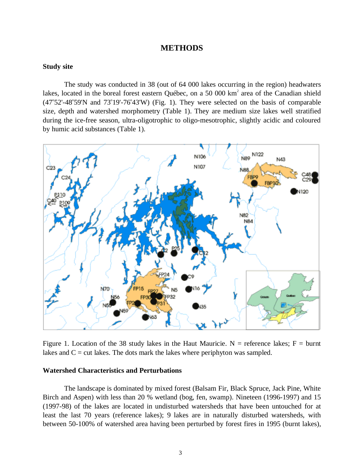#### **METHODS**

# **Study site**

The study was conducted in 38 (out of 64 000 lakes occurring in the region) headwaters lakes, located in the boreal forest eastern Québec, on a 50 000  $km^2$  area of the Canadian shield  $(47°52' - 48°59'N$  and  $73°19' - 76°43'W)$  (Fig. 1). They were selected on the basis of comparable size, depth and watershed morphometry (Table 1). They are medium size lakes well stratified during the ice-free season, ultra-oligotrophic to oligo-mesotrophic, slightly acidic and coloured by humic acid substances (Table 1).



Figure 1. Location of the 38 study lakes in the Haut Mauricie. N = reference lakes;  $F =$  burnt lakes and  $C = cut$  lakes. The dots mark the lakes where periphyton was sampled.

#### **Watershed Characteristics and Perturbations**

The landscape is dominated by mixed forest (Balsam Fir, Black Spruce, Jack Pine, White Birch and Aspen) with less than 20 % wetland (bog, fen, swamp). Nineteen (1996-1997) and 15 (1997-98) of the lakes are located in undisturbed watersheds that have been untouched for at least the last 70 years (reference lakes); 9 lakes are in naturally disturbed watersheds, with between 50-100% of watershed area having been perturbed by forest fires in 1995 (burnt lakes),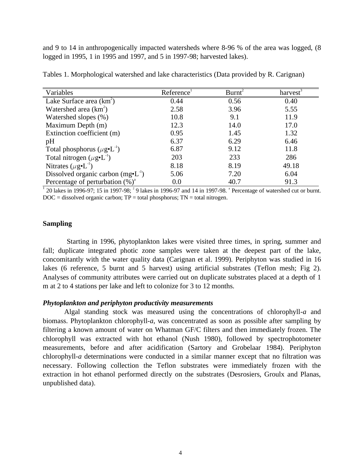and 9 to 14 in anthropogenically impacted watersheds where 8-96 % of the area was logged, (8 logged in 1995, 1 in 1995 and 1997, and 5 in 1997-98; harvested lakes).

| Variables                                               | Reference <sup>1</sup> | Burnt <sup>2</sup> | harvest <sup>3</sup> |
|---------------------------------------------------------|------------------------|--------------------|----------------------|
| Lake Surface area (km <sup>2</sup> )                    | 0.44                   | 0.56               | 0.40                 |
| Watershed area $(km^2)$                                 | 2.58                   | 3.96               | 5.55                 |
| Watershed slopes (%)                                    | 10.8                   | 9.1                | 11.9                 |
| Maximum Depth (m)                                       | 12.3                   | 14.0               | 17.0                 |
| Extinction coefficient (m)                              | 0.95                   | 1.45               | 1.32                 |
| pH                                                      | 6.37                   | 6.29               | 6.46                 |
| Total phosphorus ( $\mu$ g•L <sup>-1</sup> )            | 6.87                   | 9.12               | 11.8                 |
| Total nitrogen $(\mu \mathbf{g} \cdot \mathbf{L}^{-1})$ | 203                    | 233                | 286                  |
| Nitrates $(\mu g \cdot L^{-1})$                         | 8.18                   | 8.19               | 49.18                |
| Dissolved organic carbon $(mg\bullet L^{-1})$           | 5.06                   | 7.20               | 6.04                 |
| Percentage of perturbation $(\%)^a$                     | 0.0                    | 40.7               | 91.3                 |

Tables 1. Morphological watershed and lake characteristics (Data provided by R. Carignan)

 $1$  20 lakes in 1996-97; 15 in 1997-98;  $2$  9 lakes in 1996-97 and 14 in 1997-98.  $\degree$  Percentage of watershed cut or burnt.  $DOC = dissolved organic carbon; TP = total phosphorus; TN = total nitrogen.$ 

#### **Sampling**

 Starting in 1996, phytoplankton lakes were visited three times, in spring, summer and fall; duplicate integrated photic zone samples were taken at the deepest part of the lake, concomitantly with the water quality data (Carignan et al. 1999). Periphyton was studied in 16 lakes (6 reference, 5 burnt and 5 harvest) using artificial substrates (Teflon mesh; Fig 2). Analyses of community attributes were carried out on duplicate substrates placed at a depth of 1 m at 2 to 4 stations per lake and left to colonize for 3 to 12 months.

#### *Phytoplankton and periphyton productivity measurements*

Algal standing stock was measured using the concentrations of chlorophyll*-a* and biomass. Phytoplankton chlorophyll*-a*, was concentrated as soon as possible after sampling by filtering a known amount of water on Whatman GF/C filters and then immediately frozen. The chlorophyll was extracted with hot ethanol (Nush 1980), followed by spectrophotometer measurements, before and after acidification (Sartory and Grobelaar 1984). Periphyton chlorophyll*-a* determinations were conducted in a similar manner except that no filtration was necessary. Following collection the Teflon substrates were immediately frozen with the extraction in hot ethanol performed directly on the substrates (Desrosiers, Groulx and Planas, unpublished data).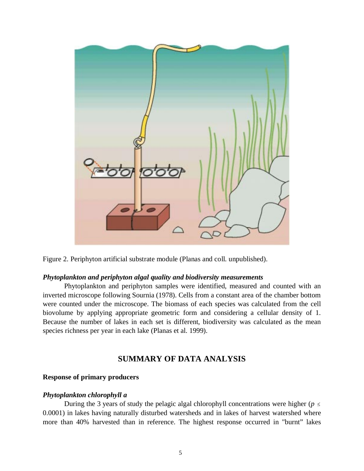

Figure 2. Periphyton artificial substrate module (Planas and coll. unpublished).

## *Phytoplankton and periphyton algal quality and biodiversity measurements*

Phytoplankton and periphyton samples were identified, measured and counted with an inverted microscope following Sournia (1978). Cells from a constant area of the chamber bottom were counted under the microscope. The biomass of each species was calculated from the cell biovolume by applying appropriate geometric form and considering a cellular density of 1. Because the number of lakes in each set is different, biodiversity was calculated as the mean species richness per year in each lake (Planas et al. 1999).

# **SUMMARY OF DATA ANALYSIS**

#### **Response of primary producers**

#### *Phytoplankton chlorophyll a*

During the 3 years of study the pelagic algal chlorophyll concentrations were higher ( $p \leq$ 0.0001) in lakes having naturally disturbed watersheds and in lakes of harvest watershed where more than 40% harvested than in reference. The highest response occurred in "burnt" lakes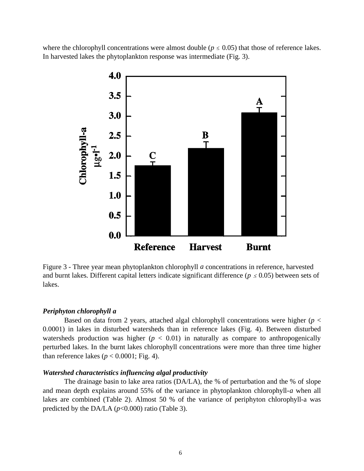where the chlorophyll concentrations were almost double ( $p \leq 0.05$ ) that those of reference lakes. In harvested lakes the phytoplankton response was intermediate (Fig. 3).



Figure 3 - Three year mean phytoplankton chlorophyll *a* concentrations in reference, harvested and burnt lakes. Different capital letters indicate significant difference ( $p \le 0.05$ ) between sets of lakes.

#### *Periphyton chlorophyll a*

Based on data from 2 years, attached algal chlorophyll concentrations were higher ( $p <$ 0.0001) in lakes in disturbed watersheds than in reference lakes (Fig. 4). Between disturbed watersheds production was higher  $(p < 0.01)$  in naturally as compare to anthropogenically perturbed lakes. In the burnt lakes chlorophyll concentrations were more than three time higher than reference lakes ( $p < 0.0001$ ; Fig. 4).

#### *Watershed characteristics influencing algal productivity*

The drainage basin to lake area ratios (DA/LA), the % of perturbation and the % of slope and mean depth explains around 55% of the variance in phytoplankton chlorophyll-*a* when all lakes are combined (Table 2). Almost 50 % of the variance of periphyton chlorophyll-a was predicted by the DA/LA  $(p<0.000)$  ratio (Table 3).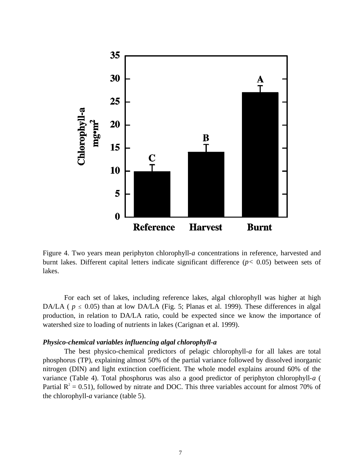

Figure 4. Two years mean periphyton chlorophyll-a concentrations in reference, harvested and burnt lakes. Different capital letters indicate significant difference (*p<* 0.05) between sets of lakes.

For each set of lakes, including reference lakes, algal chlorophyll was higher at high DA/LA ( $p \le 0.05$ ) than at low DA/LA (Fig. 5; Planas et al. 1999). These differences in algal production, in relation to DA/LA ratio, could be expected since we know the importance of watershed size to loading of nutrients in lakes (Carignan et al. 1999).

#### *Physico-chemical variables influencing algal chlorophyll-a*

The best physico-chemical predictors of pelagic chlorophyll-*a* for all lakes are total phosphorus (TP), explaining almost 50% of the partial variance followed by dissolved inorganic nitrogen (DIN) and light extinction coefficient. The whole model explains around 60% of the variance (Table 4). Total phosphorus was also a good predictor of periphyton chlorophyll-*a* ( Partial  $R^2 = 0.51$ ), followed by nitrate and DOC. This three variables account for almost 70% of the chlorophyll-*a* variance (table 5).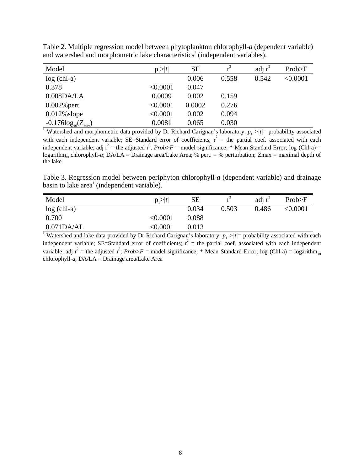| Model                             | $p_{i} >  t $ | <b>SE</b> | $r^2$ | adj $r^2$ | Prob>F   |
|-----------------------------------|---------------|-----------|-------|-----------|----------|
| $log (chl-a)$                     |               | 0.006     | 0.558 | 0.542     | < 0.0001 |
| 0.378                             | < 0.0001      | 0.047     |       |           |          |
| $0.008$ DA/LA                     | 0.0009        | 0.002     | 0.159 |           |          |
| $0.002%$ pert                     | < 0.0001      | 0.0002    | 0.276 |           |          |
| $0.012\%$ slope                   | < 0.0001      | 0.002     | 0.094 |           |          |
| $-0.176\log_{10}(Z_{\text{mov}})$ | 0.0081        | 0.065     | 0.030 |           |          |

Table 2. Multiple regression model between phytoplankton chlorophyll-*a* (dependent variable) and watershed and morphometric lake characteristics<sup>1</sup> (independent variables).

<sup>1</sup> Watershed and morphometric data provided by Dr Richard Carignan's laboratory.  $p_1 > |t| =$  probability associated with each independent variable; SE=Standard error of coefficients;  $r^2$  = the partial coef. associated with each independent variable; adj  $r^2$  = the adjusted  $r^2$ ; *Prob*>*F* = model significance; \* Mean Standard Error; log (Chl-a) = logarithm<sub>10</sub> chlorophyll-*a*; DA/LA = Drainage area/Lake Area; % pert. = % perturbation; Zmax = maximal depth of the lake.

Table 3. Regression model between periphyton chlorophyll-*a* (dependent variable) and drainage basin to lake  $area<sup>1</sup>$  (independent variable).

| Model         | p >  t        | SЕ    |       | adj $r^2$ | Prob>F   |
|---------------|---------------|-------|-------|-----------|----------|
| $log (chl-a)$ |               | 0.034 | 0.503 | 0.486     | < 0.0001 |
| 0.700         | < 0.0001      | 0.088 |       |           |          |
| 0.071DA/AL    | $<\!\!0.0001$ | 0.013 |       |           |          |

<sup>1</sup> Watershed and lake data provided by Dr Richard Carignan's laboratory.  $p_1 > |t| =$  probability associated with each independent variable; SE=Standard error of coefficients;  $r^2$  = the partial coef. associated with each independent variable; adj  $r^2$  = the adjusted  $r^2$ ; *Prob>F* = model significance; \* Mean Standard Error; log (Chl-a) = logarithm<sub>10</sub> chlorophyll- $a$ ; DA/LA = Drainage area/Lake Area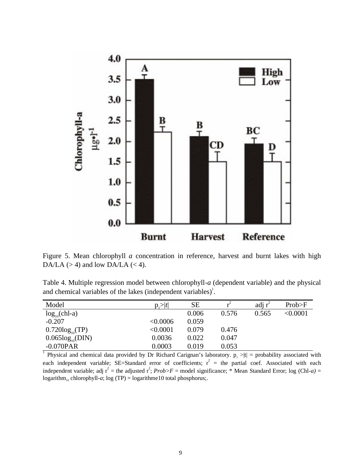

Figure 5. Mean chlorophyll *a* concentration in reference, harvest and burnt lakes with high DA/LA  $(> 4)$  and low DA/LA  $(< 4)$ .

Table 4. Multiple regression model between chlorophyll*-a* (dependent variable) and the physical and chemical variables of the lakes (independent variables)<sup>1</sup>.

| Model                 | p >  t   | SE    |       | adi 1 | Prob>F     |
|-----------------------|----------|-------|-------|-------|------------|
| $log_{10}(chl-a)$     |          | 0.006 | 0.576 | 0.565 | $<$ 0.0001 |
| $-0.207$              | < 0.0006 | 0.059 |       |       |            |
| $0.720log_{10}(TP)$   | < 0.0001 | 0.079 | 0.476 |       |            |
| $0.065\log_{10}(DIN)$ | 0.0036   | 0.022 | 0.047 |       |            |
| $-0.070$ PAR          | 0.0003   | 0.019 | 0.053 |       |            |

<sup>1</sup> Physical and chemical data provided by Dr Richard Carignan's laboratory.  $p_1 > |t| =$  probability associated with each independent variable; SE=Standard error of coefficients;  $r^2$  = the partial coef. Associated with each independent variable; adj  $r^2$  = the adjusted  $r^2$ ; *Prob>F* = model significance; \* Mean Standard Error; log (Chl-*a)* = logarithm<sub>10</sub> chlorophyll-*a*; log (TP) = logarithme10 total phosphorus;.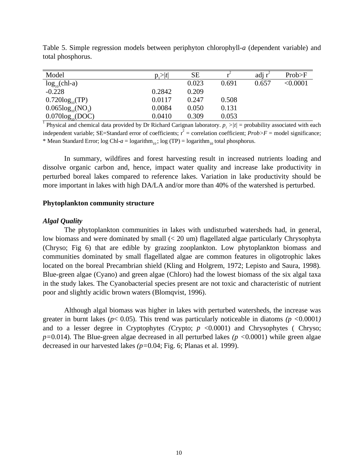| Model                                                                                                                 | p >  t | <b>SE</b> |       | adj $\mathbf{r}^2$ | Prob>F   |
|-----------------------------------------------------------------------------------------------------------------------|--------|-----------|-------|--------------------|----------|
| $log_{10}(chl-a)$                                                                                                     |        | 0.023     | 0.691 | 0.657              | < 0.0001 |
| $-0.228$                                                                                                              | 0.2842 | 0.209     |       |                    |          |
| $0.720log_{10}(TP)$                                                                                                   | 0.0117 | 0.247     | 0.508 |                    |          |
| $0.065\log_{10}(NO_2)$                                                                                                | 0.0084 | 0.050     | 0.131 |                    |          |
| $0.070 log_{10}(DOC)$                                                                                                 | 0.0410 | 0.309     | 0.053 |                    |          |
| Physical and chemical data provided by Dr Richard Carignan laboratory. $p_i >  t $ = probability associated with each |        |           |       |                    |          |

Table 5. Simple regression models between periphyton chlorophyll*-a* (dependent variable) and total phosphorus.

independent variable; SE=Standard error of coefficients;  $r^2$  = correlation coefficient;  $Prob > F$  = model significance; \* Mean Standard Error; log Chl- $a = \log \frac{\pi}{10}$ ; log (TP) = logarithm<sub>10</sub> total phosphorus.

In summary, wildfires and forest harvesting result in increased nutrients loading and dissolve organic carbon and, hence, impact water quality and increase lake productivity in perturbed boreal lakes compared to reference lakes. Variation in lake productivity should be more important in lakes with high DA/LA and/or more than 40% of the watershed is perturbed.

#### **Phytoplankton community structure**

#### *Algal Quality*

The phytoplankton communities in lakes with undisturbed watersheds had, in general, low biomass and were dominated by small (< 20 um) flagellated algae particularly Chrysophyta (Chryso; Fig 6) that are edible by grazing zooplankton. Low phytoplankton biomass and communities dominated by small flagellated algae are common features in oligotrophic lakes located on the boreal Precambrian shield (Kling and Holgrem, 1972; Lepisto and Saura, 1998). Blue-green algae (Cyano) and green algae (Chloro) had the lowest biomass of the six algal taxa in the study lakes. The Cyanobacterial species present are not toxic and characteristic of nutrient poor and slightly acidic brown waters (Blomqvist, 1996).

Although algal biomass was higher in lakes with perturbed watersheds, the increase was greater in burnt lakes (*p*< 0.05). This trend was particularly noticeable in diatoms *(p <*0.0001*)* and to a lesser degree in Cryptophytes *(Crypto;*  $p \le 0.0001$ *)* and Chrysophytes *(Crypto; chryso; p=*0.014). The Blue-green algae decreased in all perturbed lakes *(p <*0.0001) while green algae decreased in our harvested lakes *(p=*0.04; Fig. 6; Planas et al. 1999).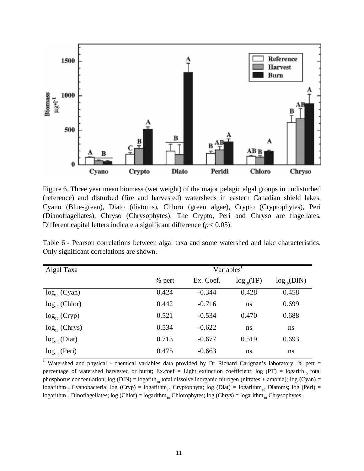

Figure 6. Three year mean biomass (wet weight) of the major pelagic algal groups in undisturbed (reference) and disturbed (fire and harvested) watersheds in eastern Canadian shield lakes. Cyano (Blue-green), Diato (diatoms), Chloro (green algae), Crypto (Cryptophytes), Peri (Dianoflagellates), Chryso (Chrysophytes). The Crypto, Peri and Chryso are flagellates. Different capital letters indicate a significant difference (*p<* 0.05).

Table 6 - Pearson correlations between algal taxa and some watershed and lake characteristics. Only significant correlations are shown.

| Algal Taxa         | Variables <sup>1</sup> |           |                |                 |  |
|--------------------|------------------------|-----------|----------------|-----------------|--|
|                    | % pert                 | Ex. Coef. | $log_{10}(TP)$ | $log_{10}(DIN)$ |  |
| $log_{10}$ (Cyan)  | 0.424                  | $-0.344$  | 0.428          | 0.458           |  |
| $log_{10}$ (Chlor) | 0.442                  | $-0.716$  | ns             | 0.699           |  |
| $log_{10}$ (Cryp)  | 0.521                  | $-0.534$  | 0.470          | 0.688           |  |
| $log_{10}$ (Chrys) | 0.534                  | $-0.622$  | ns             | ns              |  |
| $\log_{10}$ (Diat) | 0.713                  | $-0.677$  | 0.519          | 0.693           |  |
| $log_{10}$ (Peri)  | 0.475                  | $-0.663$  | ns             | ns              |  |

Watershed and physical - chemical variables data provided by Dr Richard Carignan's laboratory. % pert = percentage of watershed harvested or burnt; Ex.coef = Light extinction coefficient; log (PT) = logarith<sub>10</sub> total phosphorus concentration; log (DIN) = logarith<sub>10</sub> total dissolve inorganic nitrogen (nitrates + amonia); log (Cyan) = logarithm<sub>10</sub> Cyanobacteria; log (Cryp) = logarithm<sub>10</sub> Cryptophyta; log (Diat) = logarithm<sub>10</sub> Diatoms; log (Peri) = logarithm<sub>10</sub> Dinoflagellates; log (Chlor) = logarithm<sub>10</sub> Chlorophytes; log (Chrys) = logarithm<sub>10</sub> Chrysophytes.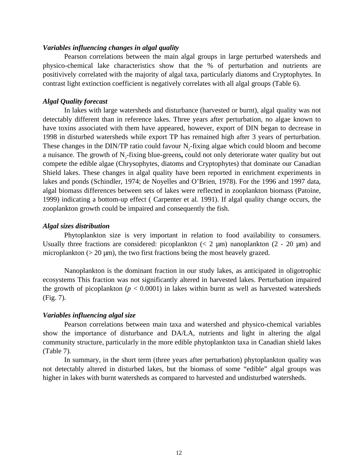#### *Variables influencing changes in algal quality*

Pearson correlations between the main algal groups in large perturbed watersheds and physico-chemical lake characteristics show that the % of perturbation and nutrients are positivively correlated with the majority of algal taxa, particularly diatoms and Cryptophytes. In contrast light extinction coefficient is negatively correlates with all algal groups (Table 6).

#### *Algal Quality forecast*

In lakes with large watersheds and disturbance (harvested or burnt), algal quality was not detectably different than in reference lakes. Three years after perturbation, no algae known to have toxins associated with them have appeared, however, export of DIN began to decrease in 1998 in disturbed watersheds while export TP has remained high after 3 years of perturbation. These changes in the DIN/TP ratio could favour  $N_2$ -fixing algae which could bloom and become a nuisance. The growth of N<sub>2</sub>-fixing blue-greens, could not only deteriorate water quality but out compete the edible algae (Chrysophytes, diatoms and Cryptophytes) that dominate our Canadian Shield lakes. These changes in algal quality have been reported in enrichment experiments in lakes and ponds (Schindler, 1974; de Noyelles and O'Brien, 1978). For the 1996 and 1997 data, algal biomass differences between sets of lakes were reflected in zooplankton biomass (Patoine, 1999) indicating a bottom-up effect ( Carpenter et al. 1991). If algal quality change occurs, the zooplankton growth could be impaired and consequently the fish.

#### *Algal sizes distribution*

Phytoplankton size is very important in relation to food availability to consumers. Usually three fractions are considered: picoplankton  $(< 2 \mu m)$  nanoplankton  $(2 - 20 \mu m)$  and microplankton ( $> 20 \mu m$ ), the two first fractions being the most heavely grazed.

Nanoplankton is the dominant fraction in our study lakes, as anticipated in oligotrophic ecosystems This fraction was not significantly altered in harvested lakes. Perturbation impaired the growth of picoplankton ( $p < 0.0001$ ) in lakes within burnt as well as harvested watersheds (Fig. 7).

#### *Variables influencing algal size*

Pearson correlations between main taxa and watershed and physico-chemical variables show the importance of disturbance and DA/LA, nutrients and light in altering the algal community structure, particularly in the more edible phytoplankton taxa in Canadian shield lakes (Table 7).

In summary, in the short term (three years after perturbation) phytoplankton quality was not detectably altered in disturbed lakes, but the biomass of some "edible" algal groups was higher in lakes with burnt watersheds as compared to harvested and undisturbed watersheds.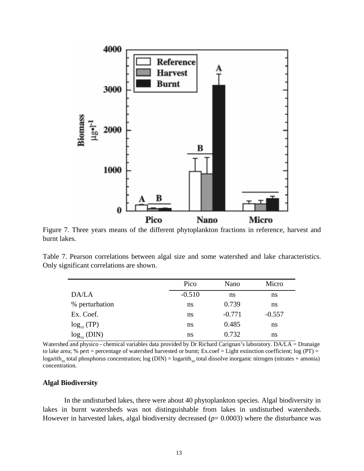

Figure 7. Three years means of the different phytoplankton fractions in reference, harvest and burnt lakes.

Table 7. Pearson correlations between algal size and some watershed and lake characteristics. Only significant correlations are shown.

|                  | Pico     | Nano     | Micro    |
|------------------|----------|----------|----------|
| DA/LA            | $-0.510$ | ns       | ns       |
| % perturbation   | ns       | 0.739    | ns       |
| Ex. Coef.        | ns       | $-0.771$ | $-0.557$ |
| $log_{10}$ (TP)  | ns       | 0.485    | ns       |
| $log_{10}$ (DIN) | ns       | 0.732    | ns       |

Watershed and physico - chemical variables data provided by Dr Richard Carignan's laboratory. DA/LA = Dranaige to lake area; % pert = percentage of watershed harvested or burnt; Ex.coef = Light extinction coefficient; log (PT) = logarith<sub>10</sub> total phosphorus concentration; log (DIN) = logarith<sub>10</sub> total dissolve inorganic nitrogen (nitrates + amonia) concentration.

#### **Algal Biodiversity**

In the undisturbed lakes, there were about 40 phytoplankton species. Algal biodiversity in lakes in burnt watersheds was not distinguishable from lakes in undisturbed watersheds. However in harvested lakes, algal biodiversity decreased  $(p= 0.0003)$  where the disturbance was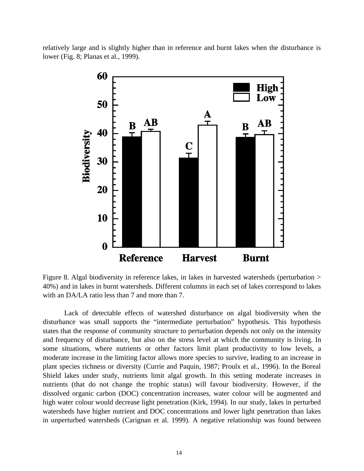relatively large and is slightly higher than in reference and burnt lakes when the disturbance is lower (Fig. 8; Planas et al., 1999).



Figure 8. Algal biodiversity in reference lakes, in lakes in harvested watersheds (perturbation > 40%) and in lakes in burnt watersheds. Different columns in each set of lakes correspond to lakes with an DA/LA ratio less than 7 and more than 7.

Lack of detectable effects of watershed disturbance on algal biodiversity when the disturbance was small supports the "intermediate perturbation" hypothesis. This hypothesis states that the response of community structure to perturbation depends not only on the intensity and frequency of disturbance, but also on the stress level at which the community is living. In some situations, where nutrients or other factors limit plant productivity to low levels, a moderate increase in the limiting factor allows more species to survive, leading to an increase in plant species richness or diversity (Currie and Paquin, 1987; Proulx et al., 1996). In the Boreal Shield lakes under study, nutrients limit algal growth. In this setting moderate increases in nutrients (that do not change the trophic status) will favour biodiversity. However, if the dissolved organic carbon (DOC) concentration increases, water colour will be augmented and high water colour would decrease light penetration (Kirk, 1994). In our study, lakes in perturbed watersheds have higher nutrient and DOC concentrations and lower light penetration than lakes in unperturbed watersheds (Carignan et al. 1999). A negative relationship was found between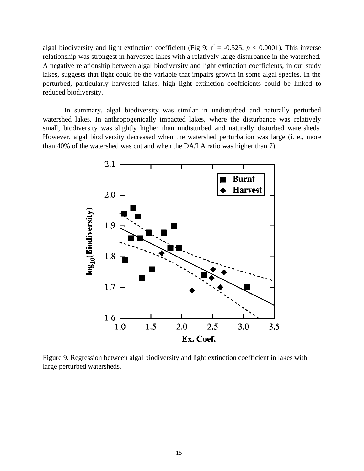algal biodiversity and light extinction coefficient (Fig 9;  $r^2 = -0.525$ ,  $p < 0.0001$ ). This inverse relationship was strongest in harvested lakes with a relatively large disturbance in the watershed. A negative relationship between algal biodiversity and light extinction coefficients, in our study lakes, suggests that light could be the variable that impairs growth in some algal species. In the perturbed, particularly harvested lakes, high light extinction coefficients could be linked to reduced biodiversity.

In summary, algal biodiversity was similar in undisturbed and naturally perturbed watershed lakes. In anthropogenically impacted lakes, where the disturbance was relatively small, biodiversity was slightly higher than undisturbed and naturally disturbed watersheds. However, algal biodiversity decreased when the watershed perturbation was large (i. e., more than 40% of the watershed was cut and when the DA/LA ratio was higher than 7).



Figure 9. Regression between algal biodiversity and light extinction coefficient in lakes with large perturbed watersheds.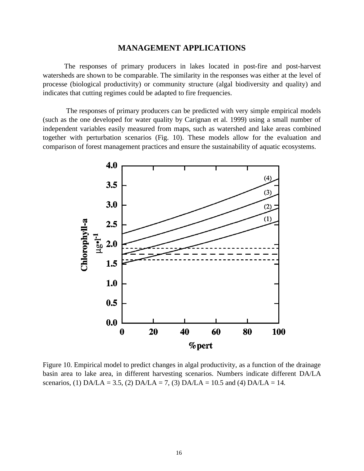# **MANAGEMENT APPLICATIONS**

The responses of primary producers in lakes located in post-fire and post-harvest watersheds are shown to be comparable. The similarity in the responses was either at the level of processe (biological productivity) or community structure (algal biodiversity and quality) and indicates that cutting regimes could be adapted to fire frequencies.

 The responses of primary producers can be predicted with very simple empirical models (such as the one developed for water quality by Carignan et al. 1999) using a small number of independent variables easily measured from maps, such as watershed and lake areas combined together with perturbation scenarios (Fig. 10). These models allow for the evaluation and comparison of forest management practices and ensure the sustainability of aquatic ecosystems.



Figure 10. Empirical model to predict changes in algal productivity, as a function of the drainage basin area to lake area, in different harvesting scenarios. Numbers indicate different DA/LA scenarios, (1) DA/LA = 3.5, (2) DA/LA = 7, (3) DA/LA = 10.5 and (4) DA/LA = 14.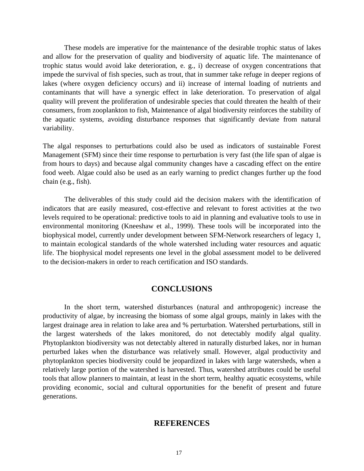These models are imperative for the maintenance of the desirable trophic status of lakes and allow for the preservation of quality and biodiversity of aquatic life. The maintenance of trophic status would avoid lake deterioration, e. g., i) decrease of oxygen concentrations that impede the survival of fish species, such as trout, that in summer take refuge in deeper regions of lakes (where oxygen deficiency occurs) and ii) increase of internal loading of nutrients and contaminants that will have a synergic effect in lake deterioration. To preservation of algal quality will prevent the proliferation of undesirable species that could threaten the health of their consumers, from zooplankton to fish, Maintenance of algal biodiversity reinforces the stability of the aquatic systems, avoiding disturbance responses that significantly deviate from natural variability.

The algal responses to perturbations could also be used as indicators of sustainable Forest Management (SFM) since their time response to perturbation is very fast (the life span of algae is from hours to days) and because algal community changes have a cascading effect on the entire food weeb. Algae could also be used as an early warning to predict changes further up the food chain (e.g., fish).

The deliverables of this study could aid the decision makers with the identification of indicators that are easily measured, cost-effective and relevant to forest activities at the two levels required to be operational: predictive tools to aid in planning and evaluative tools to use in environmental monitoring (Kneeshaw et al., 1999). These tools will be incorporated into the biophysical model, currently under development between SFM-Network researchers of legacy 1, to maintain ecological standards of the whole watershed including water resources and aquatic life. The biophysical model represents one level in the global assessment model to be delivered to the decision-makers in order to reach certification and ISO standards.

# **CONCLUSIONS**

In the short term, watershed disturbances (natural and anthropogenic) increase the productivity of algae, by increasing the biomass of some algal groups, mainly in lakes with the largest drainage area in relation to lake area and % perturbation. Watershed perturbations, still in the largest watersheds of the lakes monitored, do not detectably modify algal quality. Phytoplankton biodiversity was not detectably altered in naturally disturbed lakes, nor in human perturbed lakes when the disturbance was relatively small. However, algal productivity and phytoplankton species biodiversity could be jeopardized in lakes with large watersheds, when a relatively large portion of the watershed is harvested. Thus, watershed attributes could be useful tools that allow planners to maintain, at least in the short term, healthy aquatic ecosystems, while providing economic, social and cultural opportunities for the benefit of present and future generations.

# **REFERENCES**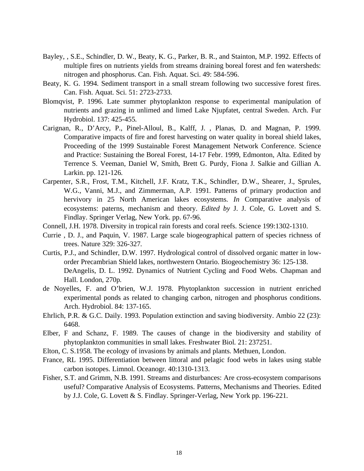- Bayley, , S.E., Schindler, D. W., Beaty, K. G., Parker, B. R., and Stainton, M.P. 1992. Effects of multiple fires on nutrients yields from streams draining boreal forest and fen watersheds: nitrogen and phosphorus. Can. Fish. Aquat. Sci. 49: 584-596.
- Beaty, K. G. 1994. Sediment transport in a small stream following two successive forest fires. Can. Fish. Aquat. Sci. 51: 2723-2733.
- Blomqvist, P. 1996. Late summer phytoplankton response to experimental manipulation of nutrients and grazing in unlimed and limed Lake Njupfatet, central Sweden. Arch. Fur Hydrobiol. 137: 425-455.
- Carignan, R., D'Arcy, P., Pinel-Alloul, B., Kalff, J. , Planas, D. and Magnan, P. 1999. Comparative impacts of fire and forest harvesting on water quality in boreal shield lakes, Proceeding of the 1999 Sustainable Forest Management Network Conference. Science and Practice: Sustaining the Boreal Forest, 14-17 Febr. 1999, Edmonton, Alta. Edited by Terrence S. Veeman, Daniel W, Smith, Brett G. Purdy, Fiona J. Salkie and Gillian A. Larkin. pp. 121-126.
- Carpenter, S.R., Frost, T.M., Kitchell, J.F. Kratz, T.K., Schindler, D.W., Shearer, J., Sprules, W.G., Vanni, M.J., and Zimmerman, A.P. 1991. Patterns of primary production and hervivory in 25 North American lakes ecosystems. *In* Comparative analysis of ecosystems: paterns, mechanism and theory. *Edited by* J. J. Cole, G. Lovett and S. Findlay. Springer Verlag, New York. pp. 67-96.
- Connell, J.H. 1978. Diversity in tropical rain forests and coral reefs. Science 199:1302-1310.
- Currie , D. J., and Paquin, V. 1987. Large scale biogeographical pattern of species richness of trees. Nature 329: 326-327.
- Curtis, P.J., and Schindler, D.W. 1997. Hydrological control of dissolved organic matter in loworder Precambrian Shield lakes, northwestern Ontario. Biogeochemistry 36: 125-138. DeAngelis, D. L. 1992. Dynamics of Nutrient Cycling and Food Webs. Chapman and Hall. London, 270p.
- de Noyelles, F. and O'brien, W.J. 1978. Phytoplankton succession in nutrient enriched experimental ponds as related to changing carbon, nitrogen and phosphorus conditions. Arch. Hydrobiol. 84: 137-165.
- Ehrlich, P.R. & G.C. Daily. 1993. Population extinction and saving biodiversity. Ambio 22 (23): 6468.
- Elber, F and Schanz, F. 1989. The causes of change in the biodiversity and stability of phytoplankton communities in small lakes. Freshwater Biol. 21: 237251.
- Elton, C. S.1958. The ecology of invasions by animals and plants. Methuen, London.
- France, RL 1995. Differentiation between littoral and pelagic food webs in lakes using stable carbon isotopes. Limnol. Oceanogr. 40:1310-1313.
- Fisher, S.T. and Grimm, N.B. 1991. Streams and disturbances: Are cross-ecosystem comparisons useful? Comparative Analysis of Ecosystems. Patterns, Mechanisms and Theories. Edited by J.J. Cole, G. Lovett & S. Findlay. Springer-Verlag, New York pp. 196-221.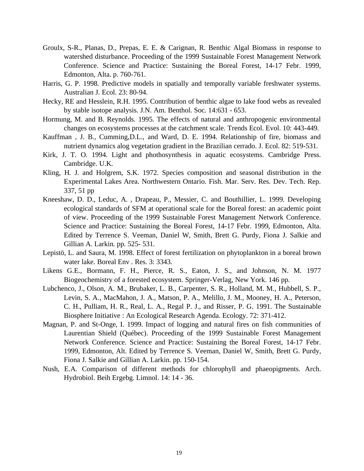- Groulx, S-R., Planas, D., Prepas, E. E. & Carignan, R. Benthic Algal Biomass in response to watershed disturbance. Proceeding of the 1999 Sustainable Forest Management Network Conference. Science and Practice: Sustaining the Boreal Forest, 14-17 Febr. 1999, Edmonton, Alta. p. 760-761.
- Harris, G. P. 1998. Predictive models in spatially and temporally variable freshwater systems. Australian J. Ecol. 23: 80-94.
- Hecky, RE and Hesslein, R.H. 1995. Contribution of benthic algae to lake food webs as revealed by stable isotope analysis. J.N. Am. Benthol. Soc. 14:631 - 653.
- Hormung, M. and B. Reynolds. 1995. The effects of natural and anthropogenic environmental changes on ecosystems processes at the catchment scale. Trends Ecol. Evol. 10: 443-449.
- Kauffman , J. B., Cumming,D.L., and Ward, D. E. 1994. Relationship of fire, biomass and nutrient dynamics alog vegetation gradient in the Brazilian cerrado. J. Ecol. 82: 519-531.
- Kirk, J. T. O. 1994. Light and phothosynthesis in aquatic ecosystems. Cambridge Press. Cambridge. U.K.
- Kling, H. J. and Holgrem, S.K. 1972. Species composition and seasonal distribution in the Experimental Lakes Area. Northwestern Ontario. Fish. Mar. Serv. Res. Dev. Tech. Rep. 337, 51 pp
- Kneeshaw, D. D., Leduc, A. , Drapeau, P., Messier, C. and Bouthillier, L. 1999. Developing ecological standards of SFM at operational scale for the Boreal forest: an academic point of view. Proceeding of the 1999 Sustainable Forest Management Network Conference. Science and Practice: Sustaining the Boreal Forest, 14-17 Febr. 1999, Edmonton, Alta. Edited by Terrence S. Veeman, Daniel W, Smith, Brett G. Purdy, Fiona J. Salkie and Gillian A. Larkin. pp. 525- 531.
- Lepistö, L. and Saura, M. 1998. Effect of forest fertilization on phytoplankton in a boreal brown water lake. Boreal Env . Res. 3: 3343.
- Likens G.E., Bormann, F. H., Pierce, R. S., Eaton, J. S., and Johnson, N. M. 1977 Biogeochemistry of a forested ecosystem. Springer-Verlag, New York. 146 pp.
- Lubchenco, J., Olson, A. M., Brubaker, L. B., Carpenter, S. R., Holland, M. M., Hubbell, S. P., Levin, S. A., MacMahon, J. A., Matson, P. A., Melillo, J. M., Mooney, H. A., Peterson, C. H., Pulliam, H. R., Real, L. A., Regal P. J., and Risser, P. G. 1991. The Sustainable Biosphere Initiative : An Ecological Research Agenda. Ecology. 72: 371-412.
- Magnan, P. and St-Onge, I. 1999. Impact of logging and natural fires on fish communities of Laurentian Shield (Québec). Proceeding of the 1999 Sustainable Forest Management Network Conference. Science and Practice: Sustaining the Boreal Forest, 14-17 Febr. 1999, Edmonton, Alt. Edited by Terrence S. Veeman, Daniel W, Smith, Brett G. Purdy, Fiona J. Salkie and Gillian A. Larkin. pp. 150-154.
- Nush, E.A. Comparison of different methods for chlorophyll and phaeopigments. Arch. Hydrobiol. Beih Ergebg. Limnol. 14: 14 - 36.